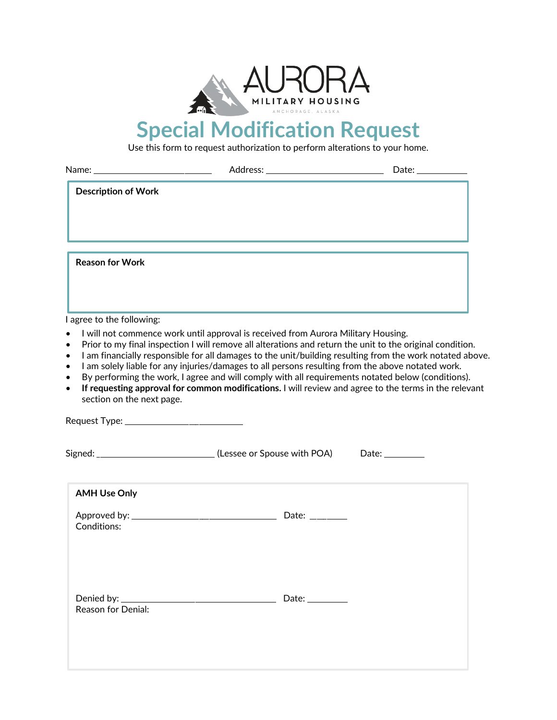

# **Special Modification Request**

Use this form to request authorization to perform alterations to your home.

|                                                                                                                              |                                                                                                                                                                                                                                                                                                                                                                                                                                                                                                                                                                                                                                                                                                    | Date: ____________ |
|------------------------------------------------------------------------------------------------------------------------------|----------------------------------------------------------------------------------------------------------------------------------------------------------------------------------------------------------------------------------------------------------------------------------------------------------------------------------------------------------------------------------------------------------------------------------------------------------------------------------------------------------------------------------------------------------------------------------------------------------------------------------------------------------------------------------------------------|--------------------|
| <b>Description of Work</b>                                                                                                   |                                                                                                                                                                                                                                                                                                                                                                                                                                                                                                                                                                                                                                                                                                    |                    |
|                                                                                                                              |                                                                                                                                                                                                                                                                                                                                                                                                                                                                                                                                                                                                                                                                                                    |                    |
| <b>Reason for Work</b>                                                                                                       |                                                                                                                                                                                                                                                                                                                                                                                                                                                                                                                                                                                                                                                                                                    |                    |
|                                                                                                                              |                                                                                                                                                                                                                                                                                                                                                                                                                                                                                                                                                                                                                                                                                                    |                    |
| I agree to the following:<br>$\bullet$<br>$\bullet$<br>$\bullet$<br>$\bullet$<br>$\bullet$<br>٠<br>section on the next page. | I will not commence work until approval is received from Aurora Military Housing.<br>Prior to my final inspection I will remove all alterations and return the unit to the original condition.<br>I am financially responsible for all damages to the unit/building resulting from the work notated above.<br>I am solely liable for any injuries/damages to all persons resulting from the above notated work.<br>By performing the work, I agree and will comply with all requirements notated below (conditions).<br>If requesting approval for common modifications. I will review and agree to the terms in the relevant<br>Signed: ______________________________(Lessee or Spouse with POA) | Date: $\_\_$       |
| <b>AMH Use Only</b>                                                                                                          |                                                                                                                                                                                                                                                                                                                                                                                                                                                                                                                                                                                                                                                                                                    |                    |
| Conditions:                                                                                                                  |                                                                                                                                                                                                                                                                                                                                                                                                                                                                                                                                                                                                                                                                                                    |                    |
|                                                                                                                              |                                                                                                                                                                                                                                                                                                                                                                                                                                                                                                                                                                                                                                                                                                    |                    |